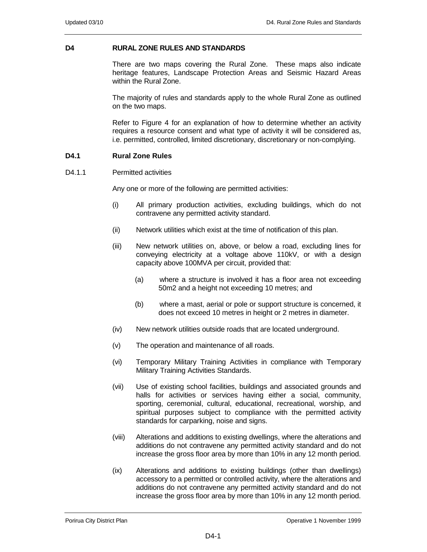## **D4 RURAL ZONE RULES AND STANDARDS**

There are two maps covering the Rural Zone. These maps also indicate heritage features, Landscape Protection Areas and Seismic Hazard Areas within the Rural Zone.

The majority of rules and standards apply to the whole Rural Zone as outlined on the two maps.

Refer to Figure 4 for an explanation of how to determine whether an activity requires a resource consent and what type of activity it will be considered as, i.e. permitted, controlled, limited discretionary, discretionary or non-complying.

# **D4.1 Rural Zone Rules**

### D<sub>4</sub> 1.1 Permitted activities

Any one or more of the following are permitted activities:

- (i) All primary production activities, excluding buildings, which do not contravene any permitted activity standard.
- (ii) Network utilities which exist at the time of notification of this plan.
- (iii) New network utilities on, above, or below a road, excluding lines for conveying electricity at a voltage above 110kV, or with a design capacity above 100MVA per circuit, provided that:
	- (a) where a structure is involved it has a floor area not exceeding 50m2 and a height not exceeding 10 metres; and
	- (b) where a mast, aerial or pole or support structure is concerned, it does not exceed 10 metres in height or 2 metres in diameter.
- (iv) New network utilities outside roads that are located underground.
- (v) The operation and maintenance of all roads.
- (vi) Temporary Military Training Activities in compliance with Temporary Military Training Activities Standards.
- (vii) Use of existing school facilities, buildings and associated grounds and halls for activities or services having either a social, community, sporting, ceremonial, cultural, educational, recreational, worship, and spiritual purposes subject to compliance with the permitted activity standards for carparking, noise and signs.
- (viii) Alterations and additions to existing dwellings, where the alterations and additions do not contravene any permitted activity standard and do not increase the gross floor area by more than 10% in any 12 month period.
- (ix) Alterations and additions to existing buildings (other than dwellings) accessory to a permitted or controlled activity, where the alterations and additions do not contravene any permitted activity standard and do not increase the gross floor area by more than 10% in any 12 month period.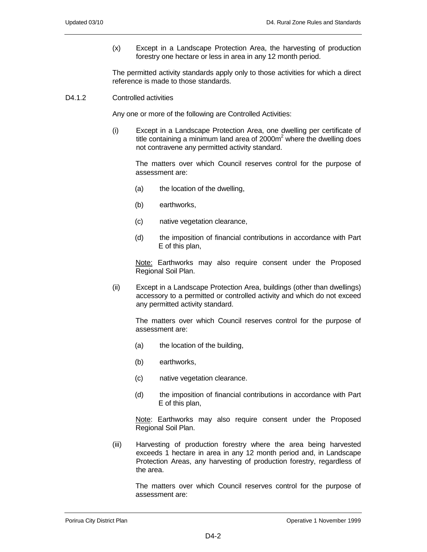(x) Except in a Landscape Protection Area, the harvesting of production forestry one hectare or less in area in any 12 month period.

The permitted activity standards apply only to those activities for which a direct reference is made to those standards.

### D<sub>4</sub>.1.2 Controlled activities

Any one or more of the following are Controlled Activities:

(i) Except in a Landscape Protection Area, one dwelling per certificate of title containing a minimum land area of 2000 $m^2$  where the dwelling does not contravene any permitted activity standard.

The matters over which Council reserves control for the purpose of assessment are:

- (a) the location of the dwelling,
- (b) earthworks,
- (c) native vegetation clearance,
- (d) the imposition of financial contributions in accordance with Part E of this plan,

Note: Earthworks may also require consent under the Proposed Regional Soil Plan.

(ii) Except in a Landscape Protection Area, buildings (other than dwellings) accessory to a permitted or controlled activity and which do not exceed any permitted activity standard.

The matters over which Council reserves control for the purpose of assessment are:

- (a) the location of the building,
- (b) earthworks,
- (c) native vegetation clearance.
- (d) the imposition of financial contributions in accordance with Part E of this plan,

Note: Earthworks may also require consent under the Proposed Regional Soil Plan.

(iii) Harvesting of production forestry where the area being harvested exceeds 1 hectare in area in any 12 month period and, in Landscape Protection Areas, any harvesting of production forestry, regardless of the area.

The matters over which Council reserves control for the purpose of assessment are: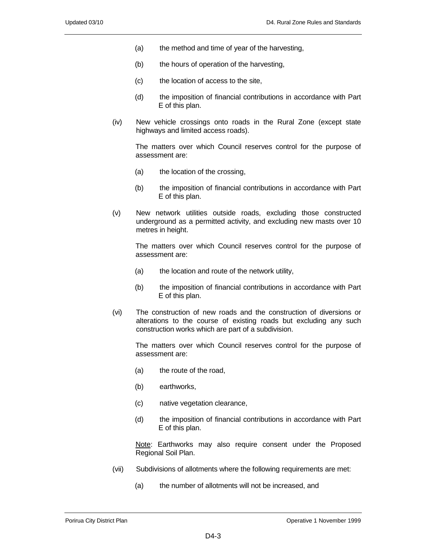- (a) the method and time of year of the harvesting,
- (b) the hours of operation of the harvesting,
- (c) the location of access to the site,
- (d) the imposition of financial contributions in accordance with Part E of this plan.
- (iv) New vehicle crossings onto roads in the Rural Zone (except state highways and limited access roads).

The matters over which Council reserves control for the purpose of assessment are:

- (a) the location of the crossing,
- (b) the imposition of financial contributions in accordance with Part E of this plan.
- (v) New network utilities outside roads, excluding those constructed underground as a permitted activity, and excluding new masts over 10 metres in height.

The matters over which Council reserves control for the purpose of assessment are:

- (a) the location and route of the network utility,
- (b) the imposition of financial contributions in accordance with Part E of this plan.
- (vi) The construction of new roads and the construction of diversions or alterations to the course of existing roads but excluding any such construction works which are part of a subdivision.

The matters over which Council reserves control for the purpose of assessment are:

- (a) the route of the road,
- (b) earthworks,
- (c) native vegetation clearance,
- (d) the imposition of financial contributions in accordance with Part E of this plan.

Note: Earthworks may also require consent under the Proposed Regional Soil Plan.

- (vii) Subdivisions of allotments where the following requirements are met:
	- (a) the number of allotments will not be increased, and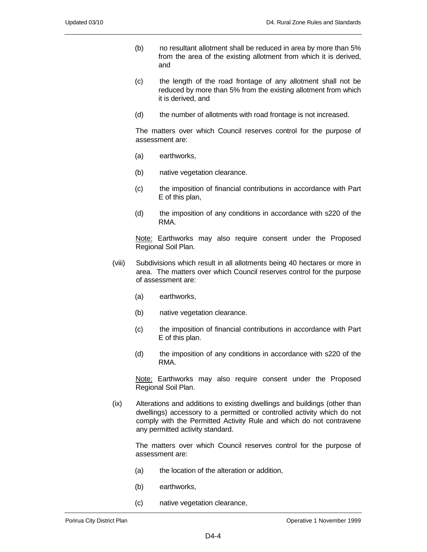- (b) no resultant allotment shall be reduced in area by more than 5% from the area of the existing allotment from which it is derived, and
- (c) the length of the road frontage of any allotment shall not be reduced by more than 5% from the existing allotment from which it is derived, and
- (d) the number of allotments with road frontage is not increased.

The matters over which Council reserves control for the purpose of assessment are:

- (a) earthworks,
- (b) native vegetation clearance.
- (c) the imposition of financial contributions in accordance with Part E of this plan,
- (d) the imposition of any conditions in accordance with s220 of the RMA.

Note: Earthworks may also require consent under the Proposed Regional Soil Plan.

- (viii) Subdivisions which result in all allotments being 40 hectares or more in area. The matters over which Council reserves control for the purpose of assessment are:
	- (a) earthworks,
	- (b) native vegetation clearance.
	- (c) the imposition of financial contributions in accordance with Part E of this plan.
	- (d) the imposition of any conditions in accordance with s220 of the RMA.

Note: Earthworks may also require consent under the Proposed Regional Soil Plan.

(ix) Alterations and additions to existing dwellings and buildings (other than dwellings) accessory to a permitted or controlled activity which do not comply with the Permitted Activity Rule and which do not contravene any permitted activity standard.

The matters over which Council reserves control for the purpose of assessment are:

- (a) the location of the alteration or addition,
- (b) earthworks,
- (c) native vegetation clearance,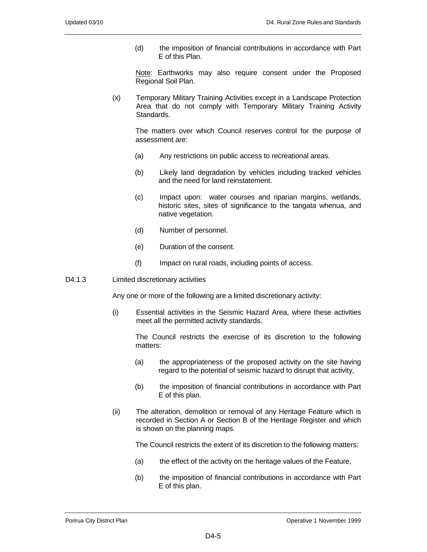(d) the imposition of financial contributions in accordance with Part E of this Plan.

Note: Earthworks may also require consent under the Proposed Regional Soil Plan.

(x) Temporary Military Training Activities except in a Landscape Protection Area that do not comply with Temporary Military Training Activity Standards.

The matters over which Council reserves control for the purpose of assessment are:

- (a) Any restrictions on public access to recreational areas.
- (b) Likely land degradation by vehicles including tracked vehicles and the need for land reinstatement.
- (c) Impact upon: water courses and riparian margins, wetlands, historic sites, sites of significance to the tangata whenua, and native vegetation.
- (d) Number of personnel.
- (e) Duration of the consent.
- (f) Impact on rural roads, including points of access.
- D4.1.3 Limited discretionary activities

Any one or more of the following are a limited discretionary activity:

(i) Essential activities in the Seismic Hazard Area, where these activities meet all the permitted activity standards.

The Council restricts the exercise of its discretion to the following matters:

- (a) the appropriateness of the proposed activity on the site having regard to the potential of seismic hazard to disrupt that activity,
- (b) the imposition of financial contributions in accordance with Part E of this plan.
- (ii) The alteration, demolition or removal of any Heritage Feature which is recorded in Section A or Section B of the Heritage Register and which is shown on the planning maps.

The Council restricts the extent of its discretion to the following matters:

- (a) the effect of the activity on the heritage values of the Feature,
- (b) the imposition of financial contributions in accordance with Part E of this plan.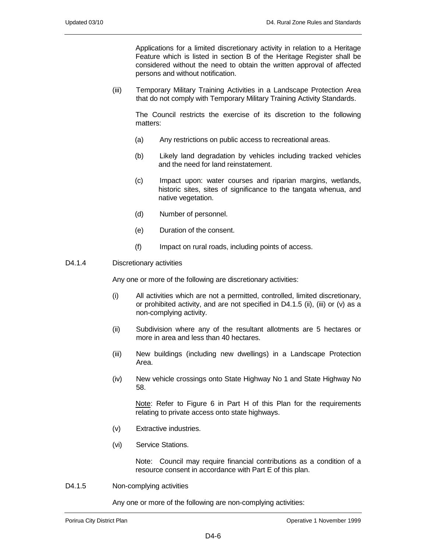Applications for a limited discretionary activity in relation to a Heritage Feature which is listed in section B of the Heritage Register shall be considered without the need to obtain the written approval of affected persons and without notification.

(iii) Temporary Military Training Activities in a Landscape Protection Area that do not comply with Temporary Military Training Activity Standards.

The Council restricts the exercise of its discretion to the following matters:

- (a) Any restrictions on public access to recreational areas.
- (b) Likely land degradation by vehicles including tracked vehicles and the need for land reinstatement.
- (c) Impact upon: water courses and riparian margins, wetlands, historic sites, sites of significance to the tangata whenua, and native vegetation.
- (d) Number of personnel.
- (e) Duration of the consent.
- (f) Impact on rural roads, including points of access.

### D<sub>4.1.4</sub> Discretionary activities

Any one or more of the following are discretionary activities:

- (i) All activities which are not a permitted, controlled, limited discretionary, or prohibited activity, and are not specified in D4.1.5 (ii), (iii) or (v) as a non-complying activity.
- (ii) Subdivision where any of the resultant allotments are 5 hectares or more in area and less than 40 hectares.
- (iii) New buildings (including new dwellings) in a Landscape Protection Area.
- (iv) New vehicle crossings onto State Highway No 1 and State Highway No 58.

Note: Refer to Figure 6 in Part H of this Plan for the requirements relating to private access onto state highways.

- (v) Extractive industries.
- (vi) Service Stations.

Note: Council may require financial contributions as a condition of a resource consent in accordance with Part E of this plan.

D4.1.5 Non-complying activities

Any one or more of the following are non-complying activities: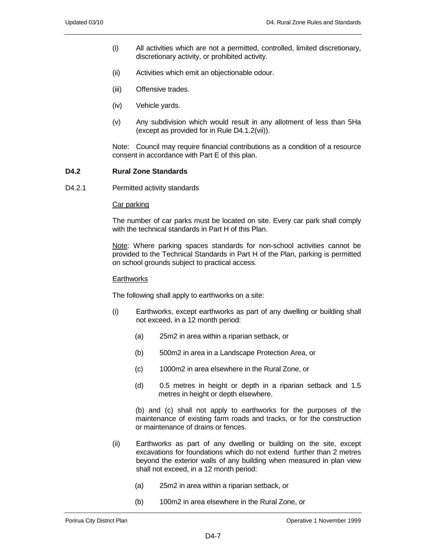- (i) All activities which are not a permitted, controlled, limited discretionary, discretionary activity, or prohibited activity.
- (ii) Activities which emit an objectionable odour.
- (iii) Offensive trades.
- (iv) Vehicle yards.
- (v) Any subdivision which would result in any allotment of less than 5Ha (except as provided for in Rule D4.1.2(vii)).

Note: Council may require financial contributions as a condition of a resource consent in accordance with Part E of this plan.

### **D4.2 Rural Zone Standards**

D4.2.1 Permitted activity standards

#### Car parking

The number of car parks must be located on site. Every car park shall comply with the technical standards in Part H of this Plan.

Note: Where parking spaces standards for non-school activities cannot be provided to the Technical Standards in Part H of the Plan, parking is permitted on school grounds subject to practical access.

#### **Earthworks**

The following shall apply to earthworks on a site:

- (i) Earthworks, except earthworks as part of any dwelling or building shall not exceed, in a 12 month period:
	- (a) 25m2 in area within a riparian setback, or
	- (b) 500m2 in area in a Landscape Protection Area, or
	- (c) 1000m2 in area elsewhere in the Rural Zone, or
	- (d) 0.5 metres in height or depth in a riparian setback and 1.5 metres in height or depth elsewhere.

(b) and (c) shall not apply to earthworks for the purposes of the maintenance of existing farm roads and tracks, or for the construction or maintenance of drains or fences.

- (ii) Earthworks as part of any dwelling or building on the site, except excavations for foundations which do not extend further than 2 metres beyond the exterior walls of any building when measured in plan view shall not exceed, in a 12 month period:
	- (a) 25m2 in area within a riparian setback, or
	- (b) 100m2 in area elsewhere in the Rural Zone, or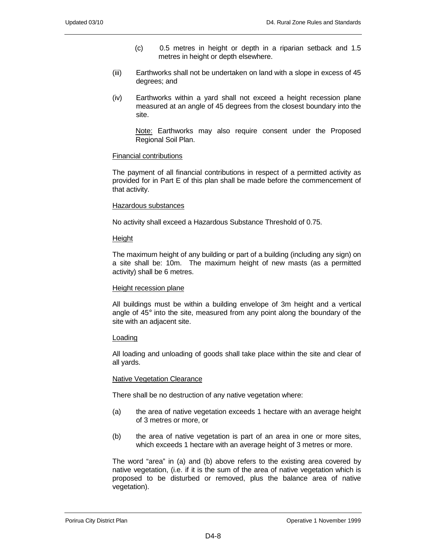- (c) 0.5 metres in height or depth in a riparian setback and 1.5 metres in height or depth elsewhere.
- (iii) Earthworks shall not be undertaken on land with a slope in excess of 45 degrees; and
- (iv) Earthworks within a yard shall not exceed a height recession plane measured at an angle of 45 degrees from the closest boundary into the site.

Note: Earthworks may also require consent under the Proposed Regional Soil Plan.

## Financial contributions

The payment of all financial contributions in respect of a permitted activity as provided for in Part E of this plan shall be made before the commencement of that activity.

## Hazardous substances

No activity shall exceed a Hazardous Substance Threshold of 0.75.

### Height

The maximum height of any building or part of a building (including any sign) on a site shall be: 10m. The maximum height of new masts (as a permitted activity) shall be 6 metres.

### Height recession plane

All buildings must be within a building envelope of 3m height and a vertical angle of  $45^\circ$  into the site, measured from any point along the boundary of the site with an adjacent site.

# Loading

All loading and unloading of goods shall take place within the site and clear of all yards.

### **Native Vegetation Clearance**

There shall be no destruction of any native vegetation where:

- (a) the area of native vegetation exceeds 1 hectare with an average height of 3 metres or more, or
- (b) the area of native vegetation is part of an area in one or more sites, which exceeds 1 hectare with an average height of 3 metres or more.

The word "area" in (a) and (b) above refers to the existing area covered by native vegetation, (i.e. if it is the sum of the area of native vegetation which is proposed to be disturbed or removed, plus the balance area of native vegetation).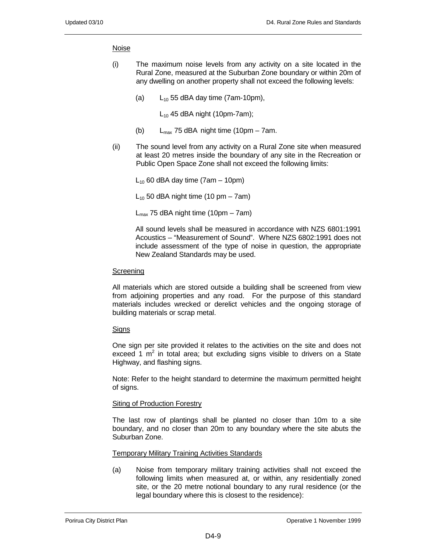### Noise

- (i) The maximum noise levels from any activity on a site located in the Rural Zone, measured at the Suburban Zone boundary or within 20m of any dwelling on another property shall not exceed the following levels:
	- (a)  $L_{10}$  55 dBA day time (7am-10pm),

 $L_{10}$  45 dBA night (10pm-7am);

- (b)  $L_{\text{max}}$  75 dBA night time (10pm 7am.
- (ii) The sound level from any activity on a Rural Zone site when measured at least 20 metres inside the boundary of any site in the Recreation or Public Open Space Zone shall not exceed the following limits:

 $L_{10}$  60 dBA day time (7am – 10pm)

 $L_{10}$  50 dBA night time (10 pm – 7am)

 $L_{\text{max}}$  75 dBA night time (10pm – 7am)

All sound levels shall be measured in accordance with NZS 6801:1991 Acoustics – "Measurement of Sound". Where NZS 6802:1991 does not include assessment of the type of noise in question, the appropriate New Zealand Standards may be used.

### Screening

All materials which are stored outside a building shall be screened from view from adjoining properties and any road. For the purpose of this standard materials includes wrecked or derelict vehicles and the ongoing storage of building materials or scrap metal.

## **Signs**

One sign per site provided it relates to the activities on the site and does not exceed 1  $m^2$  in total area; but excluding signs visible to drivers on a State Highway, and flashing signs.

Note: Refer to the height standard to determine the maximum permitted height of signs.

### Siting of Production Forestry

The last row of plantings shall be planted no closer than 10m to a site boundary, and no closer than 20m to any boundary where the site abuts the Suburban Zone.

Temporary Military Training Activities Standards

(a) Noise from temporary military training activities shall not exceed the following limits when measured at, or within, any residentially zoned site, or the 20 metre notional boundary to any rural residence (or the legal boundary where this is closest to the residence):